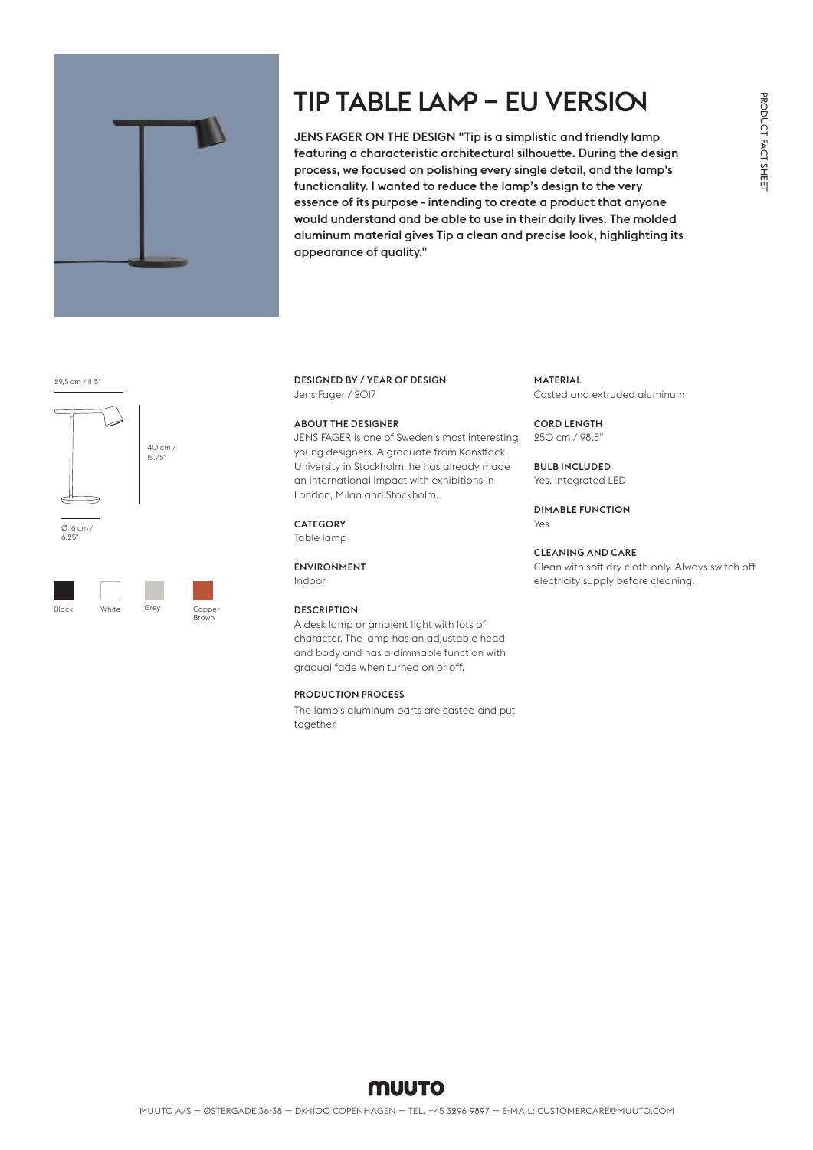

# TIP TABLE LAMP – EU VERSION

JENS FAGER ON THE DESIGN "Tip is a simplistic and friendly lamp featuring a characteristic architectural silhouette. During the design process, we focused on polishing every single detail, and the lamp's functionality. I wanted to reduce the lamp's design to the very essence of its purpose - intending to create a product that anyone would understand and be able to use in their daily lives. The molded aluminum material gives Tip a clean and precise look, highlighting its appearance of quality."

29,5 cm / 11.5"



6.25"



Brown

DESIGNED BY / YEAR OF DESIGN Jens Fager / 2017

#### ABOUT THE DESIGNER

JENS FAGER is one of Sweden's most interesting young designers. A graduate from Konstfack University in Stockholm, he has already made an international impact with exhibitions in London, Milan and Stockholm.

#### **CATEGORY**

Table lamp

#### ENVIRONMENT

Indoor

### **DESCRIPTION**

A desk lamp or ambient light with lots of character. The lamp has an adjustable head and body and has a dimmable function with gradual fade when turned on or off.

#### PRODUCTION PROCESS

The lamp's aluminum parts are casted and put together.

#### MATERIAL

Casted and extruded aluminum

#### CORD LENGTH

250 cm / 98.5"

#### BULB INCLUDED

Yes. Integrated LED

DIMABLE FUNCTION Yes

### CLEANING AND CARE

Clean with soft dry cloth only. Always switch off electricity supply before cleaning.